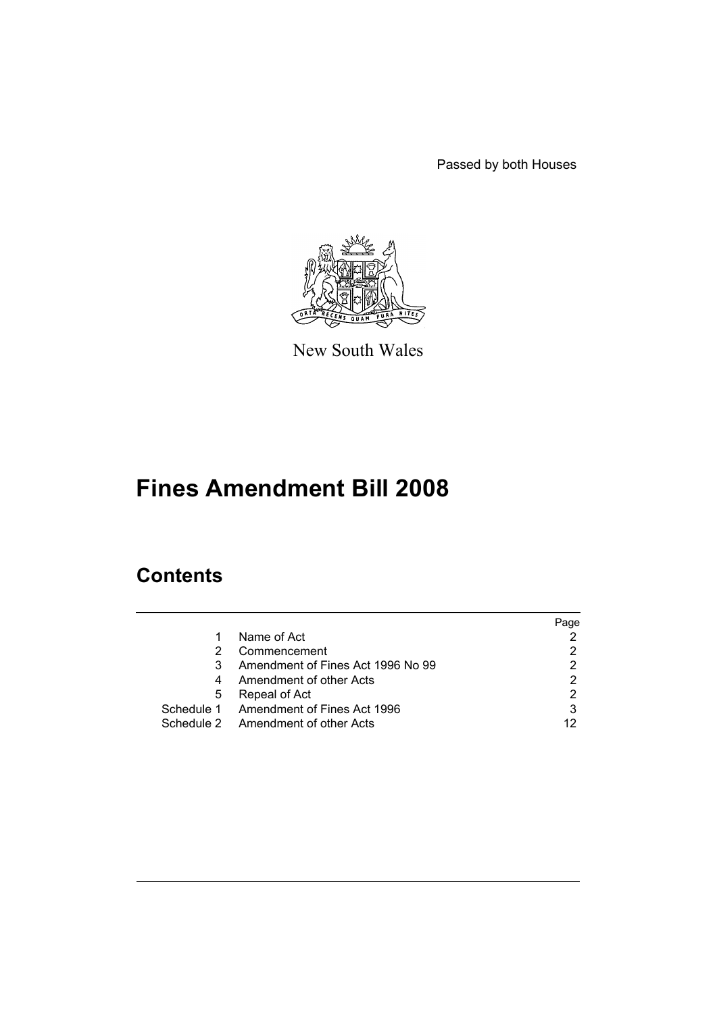Passed by both Houses



New South Wales

# **Fines Amendment Bill 2008**

# **Contents**

|   |                                        | Page |
|---|----------------------------------------|------|
|   | Name of Act                            |      |
|   | Commencement                           |      |
|   | Amendment of Fines Act 1996 No 99      |      |
| 4 | Amendment of other Acts                |      |
| 5 | Repeal of Act                          |      |
|   | Schedule 1 Amendment of Fines Act 1996 |      |
|   | Schedule 2 Amendment of other Acts     | 12   |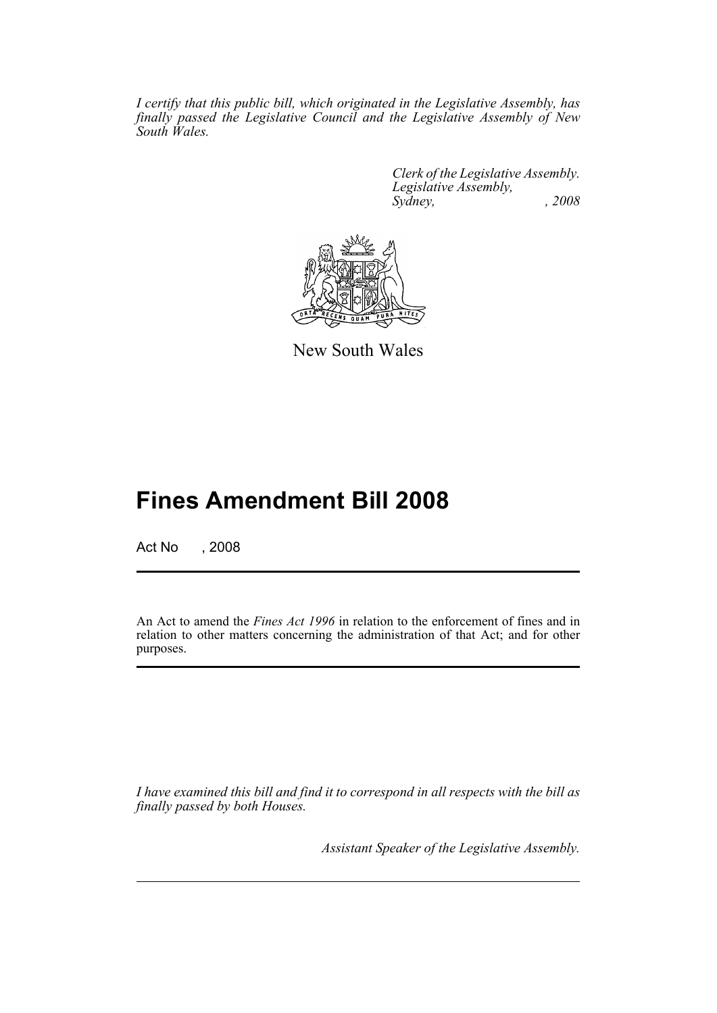*I certify that this public bill, which originated in the Legislative Assembly, has finally passed the Legislative Council and the Legislative Assembly of New South Wales.*

> *Clerk of the Legislative Assembly. Legislative Assembly, Sydney, , 2008*



New South Wales

# **Fines Amendment Bill 2008**

Act No , 2008

An Act to amend the *Fines Act 1996* in relation to the enforcement of fines and in relation to other matters concerning the administration of that Act; and for other purposes.

*I have examined this bill and find it to correspond in all respects with the bill as finally passed by both Houses.*

*Assistant Speaker of the Legislative Assembly.*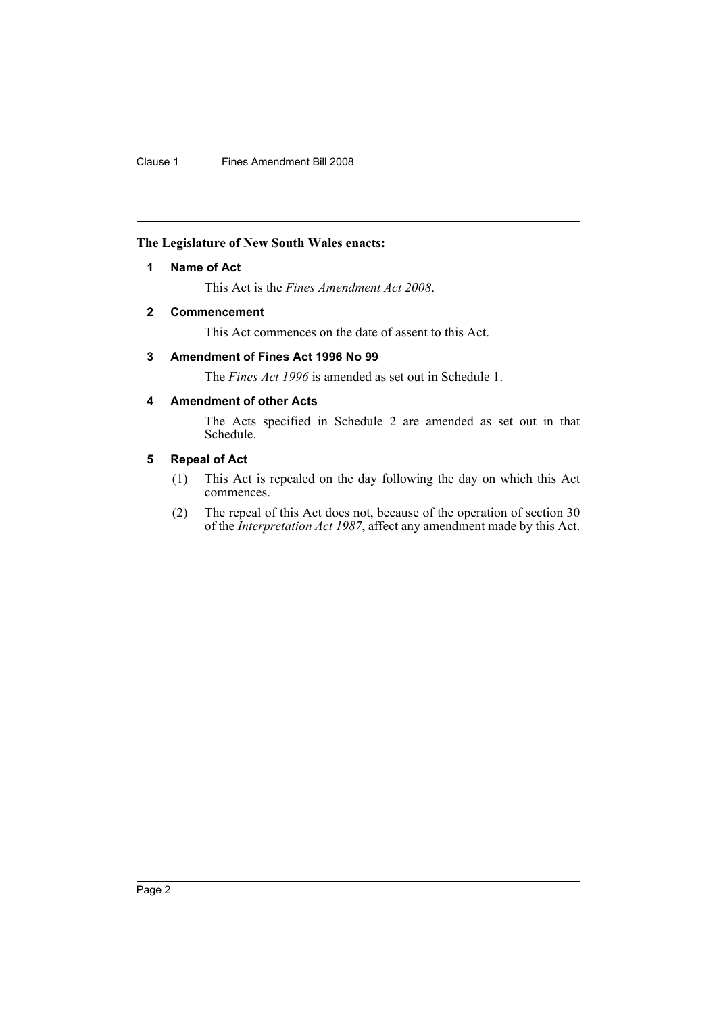# <span id="page-2-0"></span>**The Legislature of New South Wales enacts:**

### **1 Name of Act**

This Act is the *Fines Amendment Act 2008*.

# <span id="page-2-1"></span>**2 Commencement**

This Act commences on the date of assent to this Act.

# <span id="page-2-2"></span>**3 Amendment of Fines Act 1996 No 99**

The *Fines Act 1996* is amended as set out in Schedule 1.

# <span id="page-2-3"></span>**4 Amendment of other Acts**

The Acts specified in Schedule 2 are amended as set out in that Schedule.

### <span id="page-2-4"></span>**5 Repeal of Act**

- (1) This Act is repealed on the day following the day on which this Act commences.
- (2) The repeal of this Act does not, because of the operation of section 30 of the *Interpretation Act 1987*, affect any amendment made by this Act.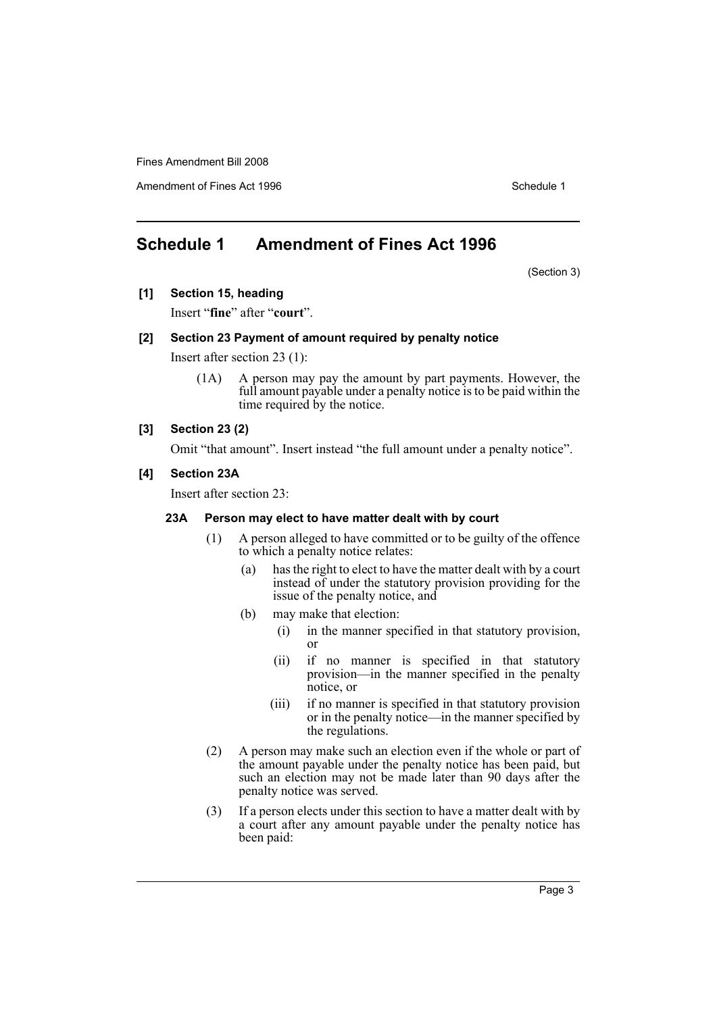Amendment of Fines Act 1996 Schedule 1

# <span id="page-3-0"></span>**Schedule 1 Amendment of Fines Act 1996**

(Section 3)

**[1] Section 15, heading**

Insert "**fine**" after "**court**".

#### **[2] Section 23 Payment of amount required by penalty notice**

Insert after section 23 (1):

(1A) A person may pay the amount by part payments. However, the full amount payable under a penalty notice is to be paid within the time required by the notice.

# **[3] Section 23 (2)**

Omit "that amount". Insert instead "the full amount under a penalty notice".

#### **[4] Section 23A**

Insert after section 23:

#### **23A Person may elect to have matter dealt with by court**

- (1) A person alleged to have committed or to be guilty of the offence to which a penalty notice relates:
	- (a) has the right to elect to have the matter dealt with by a court instead of under the statutory provision providing for the issue of the penalty notice, and
	- (b) may make that election:
		- (i) in the manner specified in that statutory provision, or
		- (ii) if no manner is specified in that statutory provision—in the manner specified in the penalty notice, or
		- (iii) if no manner is specified in that statutory provision or in the penalty notice—in the manner specified by the regulations.
- (2) A person may make such an election even if the whole or part of the amount payable under the penalty notice has been paid, but such an election may not be made later than 90 days after the penalty notice was served.
- (3) If a person elects under this section to have a matter dealt with by a court after any amount payable under the penalty notice has been paid: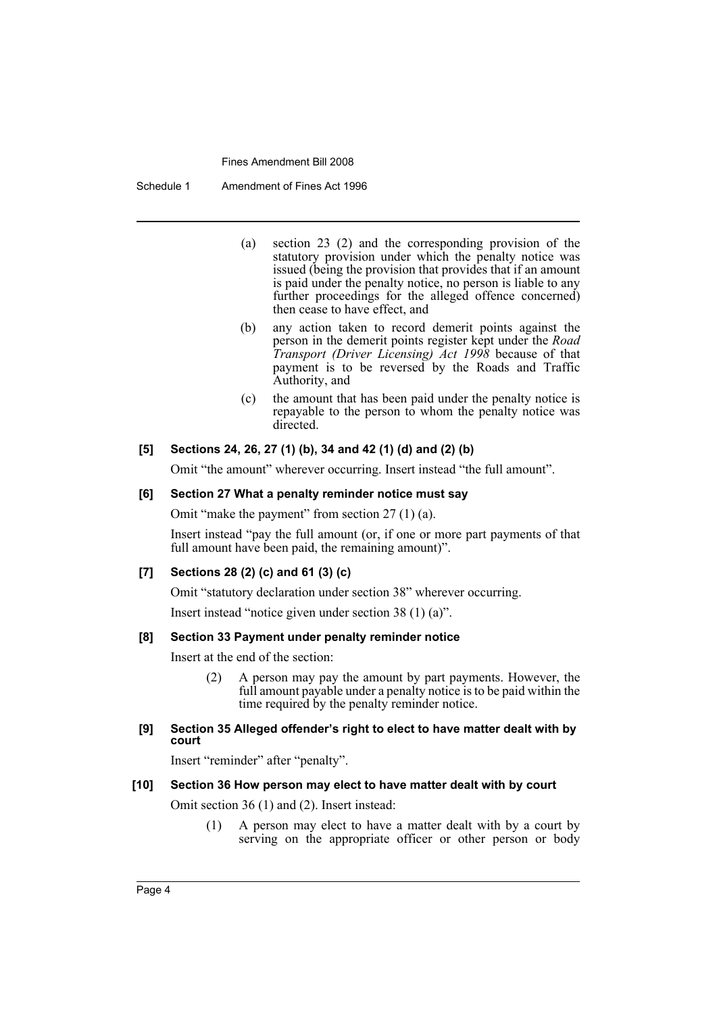Schedule 1 Amendment of Fines Act 1996

- (a) section 23 (2) and the corresponding provision of the statutory provision under which the penalty notice was issued (being the provision that provides that if an amount is paid under the penalty notice, no person is liable to any further proceedings for the alleged offence concerned) then cease to have effect, and
- (b) any action taken to record demerit points against the person in the demerit points register kept under the *Road Transport (Driver Licensing) Act 1998* because of that payment is to be reversed by the Roads and Traffic Authority, and
- (c) the amount that has been paid under the penalty notice is repayable to the person to whom the penalty notice was directed.

### **[5] Sections 24, 26, 27 (1) (b), 34 and 42 (1) (d) and (2) (b)**

Omit "the amount" wherever occurring. Insert instead "the full amount".

# **[6] Section 27 What a penalty reminder notice must say**

Omit "make the payment" from section 27 (1) (a).

Insert instead "pay the full amount (or, if one or more part payments of that full amount have been paid, the remaining amount)".

# **[7] Sections 28 (2) (c) and 61 (3) (c)**

Omit "statutory declaration under section 38" wherever occurring.

Insert instead "notice given under section 38 (1) (a)".

# **[8] Section 33 Payment under penalty reminder notice**

Insert at the end of the section:

(2) A person may pay the amount by part payments. However, the full amount payable under a penalty notice is to be paid within the time required by the penalty reminder notice.

### **[9] Section 35 Alleged offender's right to elect to have matter dealt with by court**

Insert "reminder" after "penalty".

#### **[10] Section 36 How person may elect to have matter dealt with by court**

Omit section 36 (1) and (2). Insert instead:

(1) A person may elect to have a matter dealt with by a court by serving on the appropriate officer or other person or body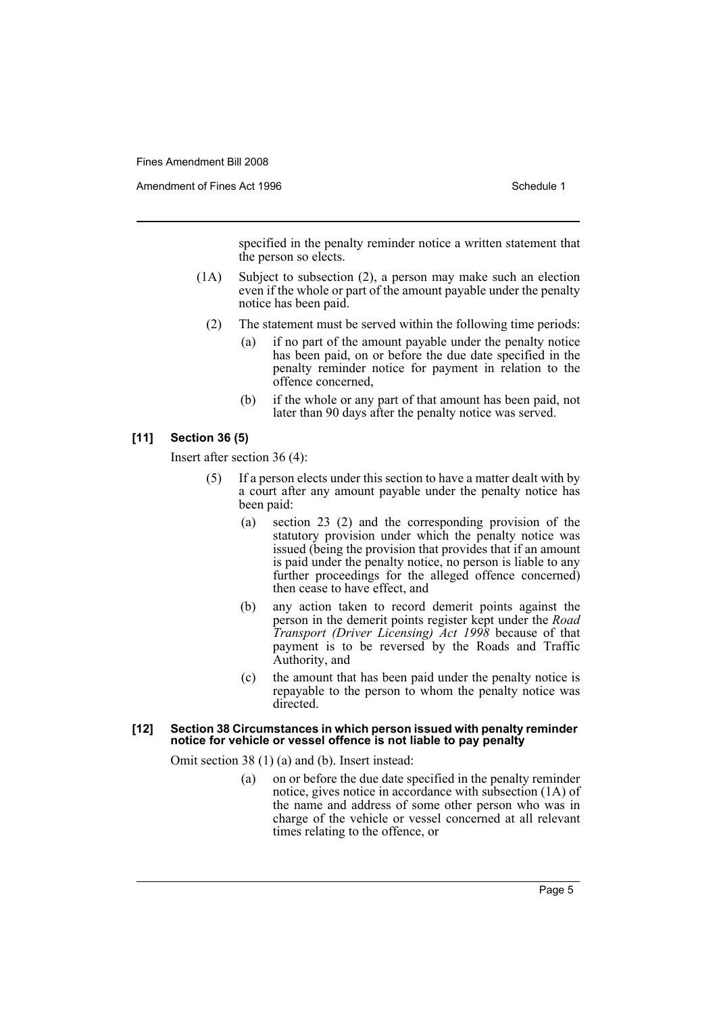Amendment of Fines Act 1996 Schedule 1

specified in the penalty reminder notice a written statement that the person so elects.

- (1A) Subject to subsection (2), a person may make such an election even if the whole or part of the amount payable under the penalty notice has been paid.
	- (2) The statement must be served within the following time periods:
		- (a) if no part of the amount payable under the penalty notice has been paid, on or before the due date specified in the penalty reminder notice for payment in relation to the offence concerned,
		- (b) if the whole or any part of that amount has been paid, not later than 90 days after the penalty notice was served.

#### **[11] Section 36 (5)**

Insert after section 36 (4):

- (5) If a person elects under this section to have a matter dealt with by a court after any amount payable under the penalty notice has been paid:
	- (a) section 23 (2) and the corresponding provision of the statutory provision under which the penalty notice was issued (being the provision that provides that if an amount is paid under the penalty notice, no person is liable to any further proceedings for the alleged offence concerned) then cease to have effect, and
	- (b) any action taken to record demerit points against the person in the demerit points register kept under the *Road Transport (Driver Licensing) Act 1998* because of that payment is to be reversed by the Roads and Traffic Authority, and
	- (c) the amount that has been paid under the penalty notice is repayable to the person to whom the penalty notice was directed.

#### **[12] Section 38 Circumstances in which person issued with penalty reminder notice for vehicle or vessel offence is not liable to pay penalty**

Omit section 38 (1) (a) and (b). Insert instead:

(a) on or before the due date specified in the penalty reminder notice, gives notice in accordance with subsection (1A) of the name and address of some other person who was in charge of the vehicle or vessel concerned at all relevant times relating to the offence, or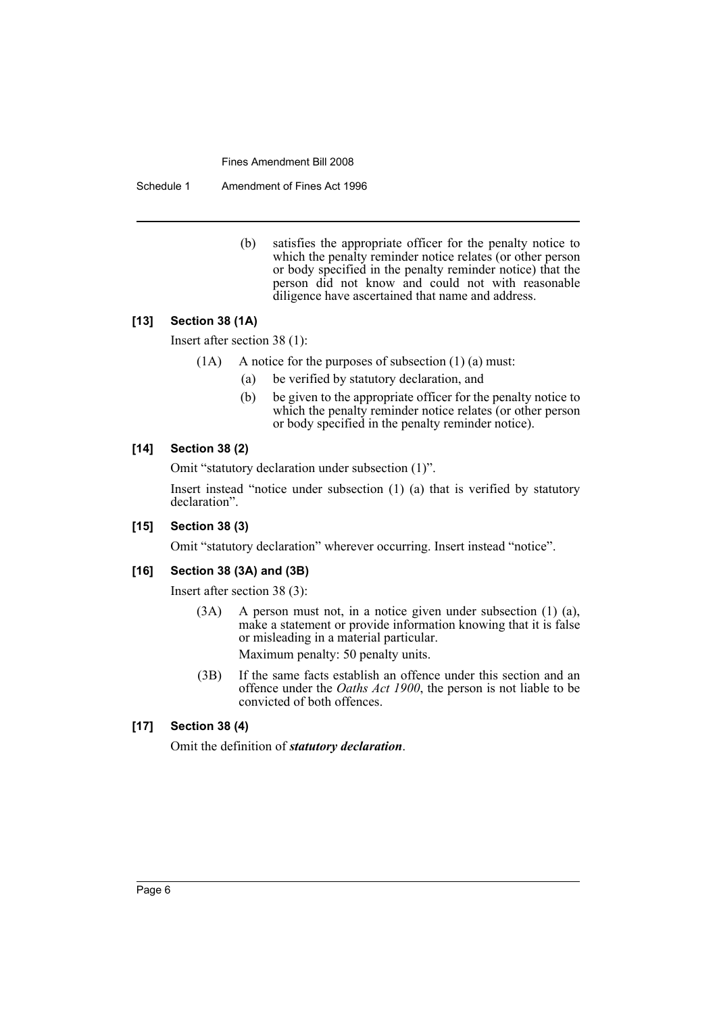Schedule 1 Amendment of Fines Act 1996

(b) satisfies the appropriate officer for the penalty notice to which the penalty reminder notice relates (or other person or body specified in the penalty reminder notice) that the person did not know and could not with reasonable diligence have ascertained that name and address.

#### **[13] Section 38 (1A)**

Insert after section 38 (1):

- (1A) A notice for the purposes of subsection (1) (a) must:
	- (a) be verified by statutory declaration, and
	- (b) be given to the appropriate officer for the penalty notice to which the penalty reminder notice relates (or other person or body specified in the penalty reminder notice).

#### **[14] Section 38 (2)**

Omit "statutory declaration under subsection (1)".

Insert instead "notice under subsection (1) (a) that is verified by statutory declaration".

#### **[15] Section 38 (3)**

Omit "statutory declaration" wherever occurring. Insert instead "notice".

# **[16] Section 38 (3A) and (3B)**

Insert after section 38 (3):

- (3A) A person must not, in a notice given under subsection (1) (a), make a statement or provide information knowing that it is false or misleading in a material particular. Maximum penalty: 50 penalty units.
- (3B) If the same facts establish an offence under this section and an offence under the *Oaths Act 1900*, the person is not liable to be convicted of both offences.

#### **[17] Section 38 (4)**

Omit the definition of *statutory declaration*.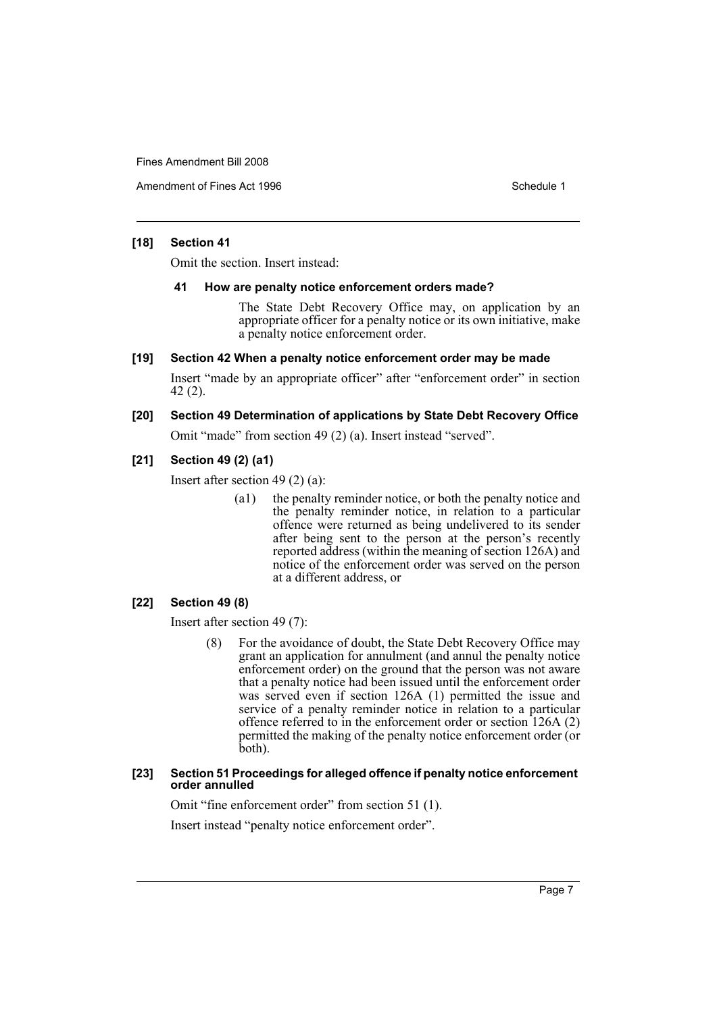Amendment of Fines Act 1996 Schedule 1

#### **[18] Section 41**

Omit the section. Insert instead:

#### **41 How are penalty notice enforcement orders made?**

The State Debt Recovery Office may, on application by an appropriate officer for a penalty notice or its own initiative, make a penalty notice enforcement order.

#### **[19] Section 42 When a penalty notice enforcement order may be made**

Insert "made by an appropriate officer" after "enforcement order" in section 42 (2).

# **[20] Section 49 Determination of applications by State Debt Recovery Office**

Omit "made" from section 49 (2) (a). Insert instead "served".

#### **[21] Section 49 (2) (a1)**

Insert after section 49 (2) (a):

(a1) the penalty reminder notice, or both the penalty notice and the penalty reminder notice, in relation to a particular offence were returned as being undelivered to its sender after being sent to the person at the person's recently reported address (within the meaning of section 126A) and notice of the enforcement order was served on the person at a different address, or

# **[22] Section 49 (8)**

Insert after section 49 (7):

(8) For the avoidance of doubt, the State Debt Recovery Office may grant an application for annulment (and annul the penalty notice enforcement order) on the ground that the person was not aware that a penalty notice had been issued until the enforcement order was served even if section 126A (1) permitted the issue and service of a penalty reminder notice in relation to a particular offence referred to in the enforcement order or section 126A (2) permitted the making of the penalty notice enforcement order (or both).

#### **[23] Section 51 Proceedings for alleged offence if penalty notice enforcement order annulled**

Omit "fine enforcement order" from section 51 (1).

Insert instead "penalty notice enforcement order".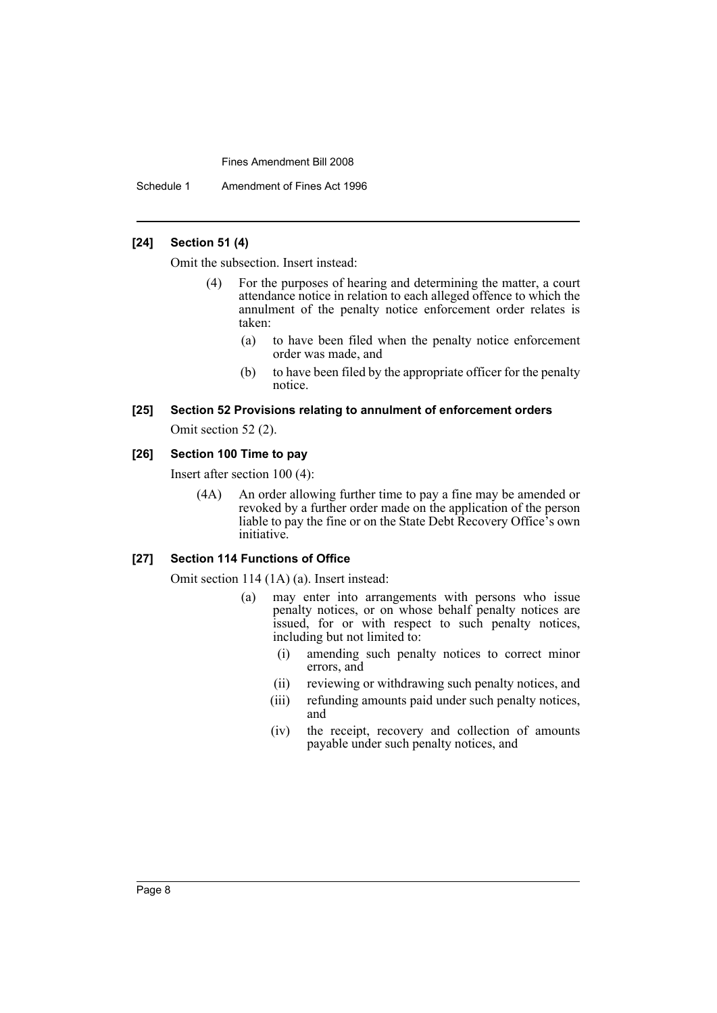Schedule 1 Amendment of Fines Act 1996

## **[24] Section 51 (4)**

Omit the subsection. Insert instead:

- (4) For the purposes of hearing and determining the matter, a court attendance notice in relation to each alleged offence to which the annulment of the penalty notice enforcement order relates is taken:
	- (a) to have been filed when the penalty notice enforcement order was made, and
	- (b) to have been filed by the appropriate officer for the penalty notice.

# **[25] Section 52 Provisions relating to annulment of enforcement orders**

Omit section 52 (2).

# **[26] Section 100 Time to pay**

Insert after section 100 (4):

(4A) An order allowing further time to pay a fine may be amended or revoked by a further order made on the application of the person liable to pay the fine or on the State Debt Recovery Office's own initiative.

#### **[27] Section 114 Functions of Office**

Omit section 114 (1A) (a). Insert instead:

- (a) may enter into arrangements with persons who issue penalty notices, or on whose behalf penalty notices are issued, for or with respect to such penalty notices, including but not limited to:
	- (i) amending such penalty notices to correct minor errors, and
	- (ii) reviewing or withdrawing such penalty notices, and
	- (iii) refunding amounts paid under such penalty notices, and
	- (iv) the receipt, recovery and collection of amounts payable under such penalty notices, and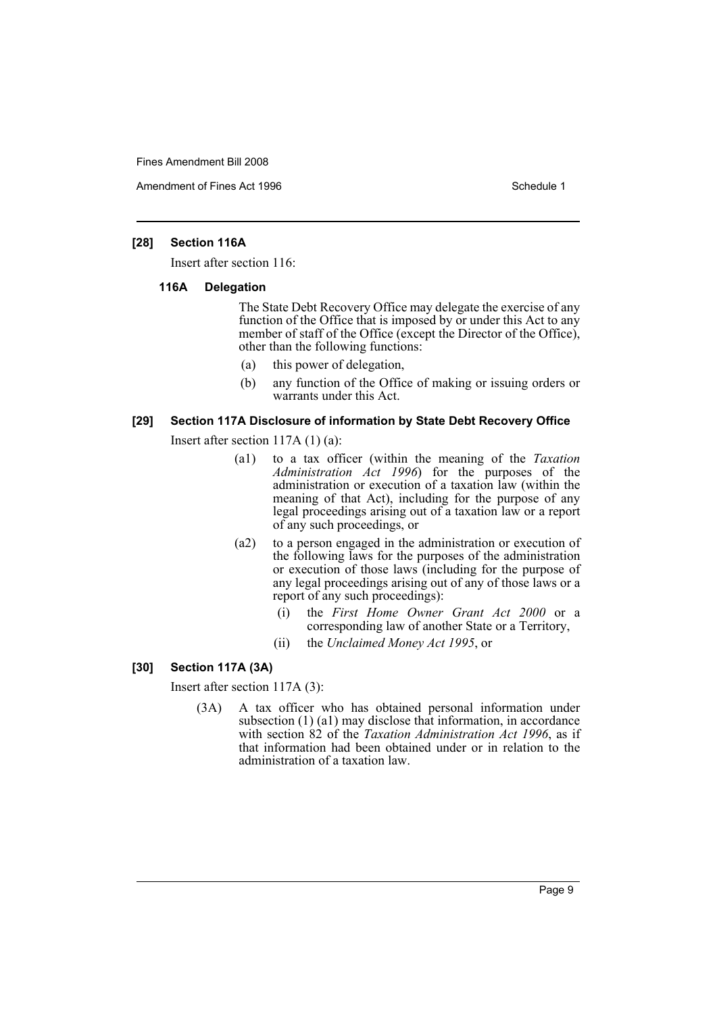Amendment of Fines Act 1996 Schedule 1

#### **[28] Section 116A**

Insert after section 116:

#### **116A Delegation**

The State Debt Recovery Office may delegate the exercise of any function of the Office that is imposed by or under this Act to any member of staff of the Office (except the Director of the Office), other than the following functions:

- (a) this power of delegation,
- (b) any function of the Office of making or issuing orders or warrants under this Act.

#### **[29] Section 117A Disclosure of information by State Debt Recovery Office**

Insert after section 117A (1) (a):

- (a1) to a tax officer (within the meaning of the *Taxation Administration Act 1996*) for the purposes of the administration or execution of a taxation law (within the meaning of that Act), including for the purpose of any legal proceedings arising out of a taxation law or a report of any such proceedings, or
- (a2) to a person engaged in the administration or execution of the following laws for the purposes of the administration or execution of those laws (including for the purpose of any legal proceedings arising out of any of those laws or a report of any such proceedings):
	- (i) the *First Home Owner Grant Act 2000* or a corresponding law of another State or a Territory,
	- (ii) the *Unclaimed Money Act 1995*, or

# **[30] Section 117A (3A)**

Insert after section 117A (3):

(3A) A tax officer who has obtained personal information under subsection (1) (a1) may disclose that information, in accordance with section 82 of the *Taxation Administration Act 1996*, as if that information had been obtained under or in relation to the administration of a taxation law.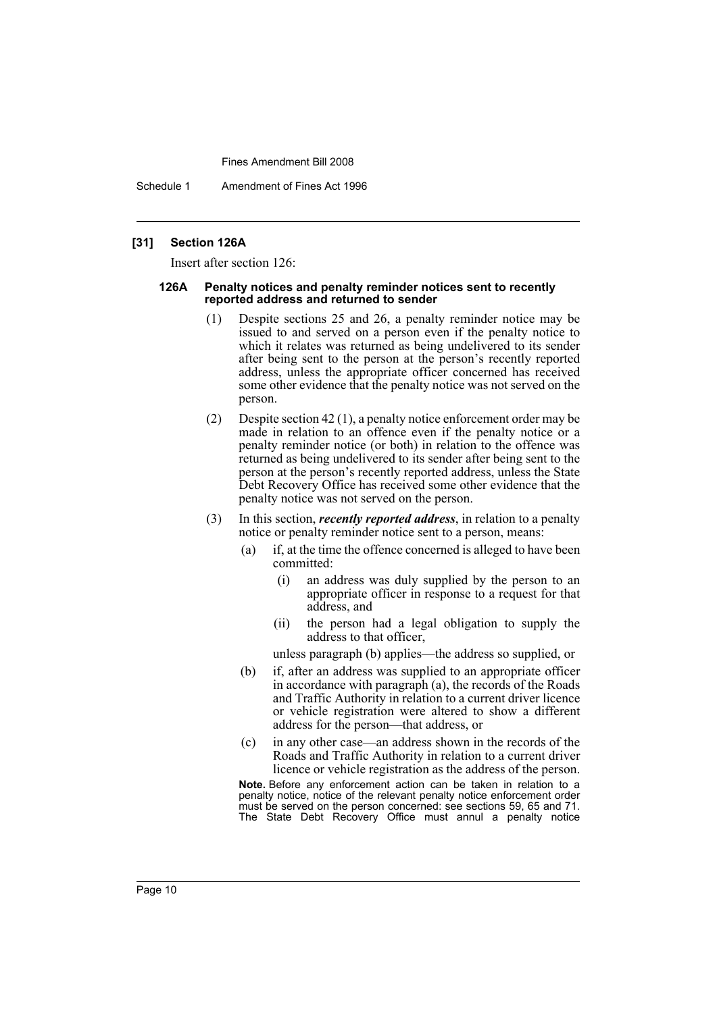Schedule 1 Amendment of Fines Act 1996

#### **[31] Section 126A**

Insert after section 126:

#### **126A Penalty notices and penalty reminder notices sent to recently reported address and returned to sender**

- (1) Despite sections 25 and 26, a penalty reminder notice may be issued to and served on a person even if the penalty notice to which it relates was returned as being undelivered to its sender after being sent to the person at the person's recently reported address, unless the appropriate officer concerned has received some other evidence that the penalty notice was not served on the person.
- (2) Despite section 42 (1), a penalty notice enforcement order may be made in relation to an offence even if the penalty notice or a penalty reminder notice (or both) in relation to the offence was returned as being undelivered to its sender after being sent to the person at the person's recently reported address, unless the State Debt Recovery Office has received some other evidence that the penalty notice was not served on the person.
- (3) In this section, *recently reported address*, in relation to a penalty notice or penalty reminder notice sent to a person, means:
	- (a) if, at the time the offence concerned is alleged to have been committed:
		- (i) an address was duly supplied by the person to an appropriate officer in response to a request for that address, and
		- (ii) the person had a legal obligation to supply the address to that officer,
		- unless paragraph (b) applies—the address so supplied, or
	- (b) if, after an address was supplied to an appropriate officer in accordance with paragraph (a), the records of the Roads and Traffic Authority in relation to a current driver licence or vehicle registration were altered to show a different address for the person—that address, or
	- (c) in any other case—an address shown in the records of the Roads and Traffic Authority in relation to a current driver licence or vehicle registration as the address of the person.

**Note.** Before any enforcement action can be taken in relation to a penalty notice, notice of the relevant penalty notice enforcement order must be served on the person concerned: see sections 59, 65 and 71. The State Debt Recovery Office must annul a penalty notice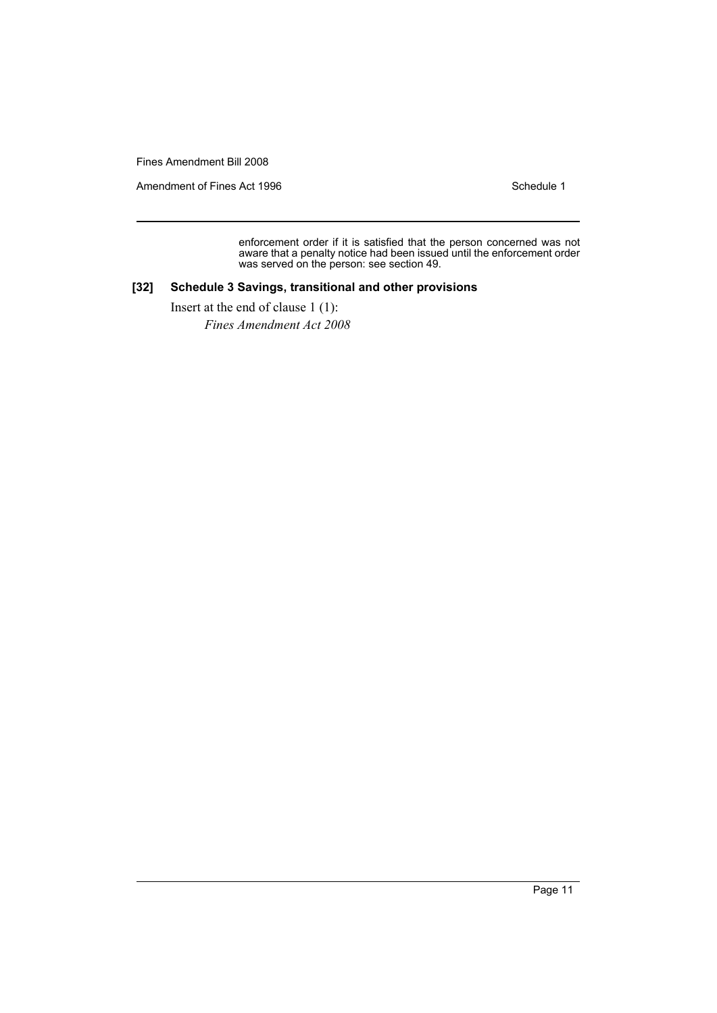Amendment of Fines Act 1996 Schedule 1

enforcement order if it is satisfied that the person concerned was not aware that a penalty notice had been issued until the enforcement order was served on the person: see section 49.

## **[32] Schedule 3 Savings, transitional and other provisions**

Insert at the end of clause 1 (1):

*Fines Amendment Act 2008*